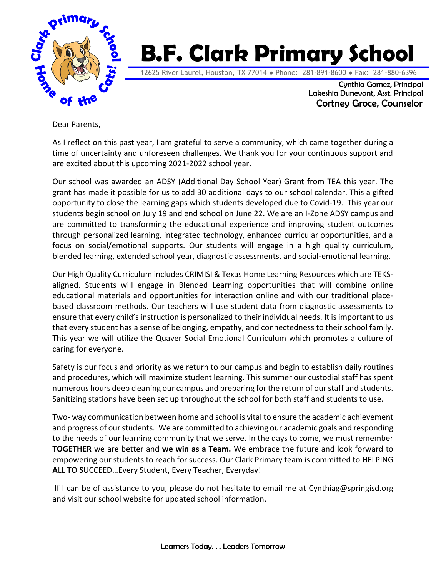

## **B.F. Clark Primary School**

12625 River Laurel, Houston, TX 77014 ● Phone: 281-891-8600 ● Fax: 281-880-6396

Cynthia Gomez, Principal Lakeshia Dunevant, Asst. Principal Cortney Groce, Counselor

Dear Parents,

As I reflect on this past year, I am grateful to serve a community, which came together during a time of uncertainty and unforeseen challenges. We thank you for your continuous support and are excited about this upcoming 2021-2022 school year.

Our school was awarded an ADSY (Additional Day School Year) Grant from TEA this year. The grant has made it possible for us to add 30 additional days to our school calendar. This a gifted opportunity to close the learning gaps which students developed due to Covid-19. This year our students begin school on July 19 and end school on June 22. We are an I-Zone ADSY campus and are committed to transforming the educational experience and improving student outcomes through personalized learning, integrated technology, enhanced curricular opportunities, and a focus on social/emotional supports. Our students will engage in a high quality curriculum, blended learning, extended school year, diagnostic assessments, and social-emotional learning.

Our High Quality Curriculum includes CRIMISI & Texas Home Learning Resources which are TEKSaligned. Students will engage in Blended Learning opportunities that will combine online educational materials and opportunities for interaction online and with our traditional placebased classroom methods. Our teachers will use student data from diagnostic assessments to ensure that every child's instruction is personalized to their individual needs. It is important to us that every student has a sense of belonging, empathy, and connectedness to their school family. This year we will utilize the Quaver Social Emotional Curriculum which promotes a culture of caring for everyone.

Safety is our focus and priority as we return to our campus and begin to establish daily routines and procedures, which will maximize student learning. This summer our custodial staff has spent numerous hours deep cleaning our campus and preparing for the return of our staff and students. Sanitizing stations have been set up throughout the school for both staff and students to use.

Two- way communication between home and school is vital to ensure the academic achievement and progress of our students. We are committed to achieving our academic goals and responding to the needs of our learning community that we serve. In the days to come, we must remember **TOGETHER** we are better and **we win as a Team.** We embrace the future and look forward to empowering our students to reach for success. Our Clark Primary team is committed to **H**ELPING **A**LL **T**O **S**UCCEED…Every Student, Every Teacher, Everyday!

If I can be of assistance to you, please do not hesitate to email me at [Cynthiag@springisd.org](mailto:Cynthiag@springisd.org) and visit our school website for updated school information.